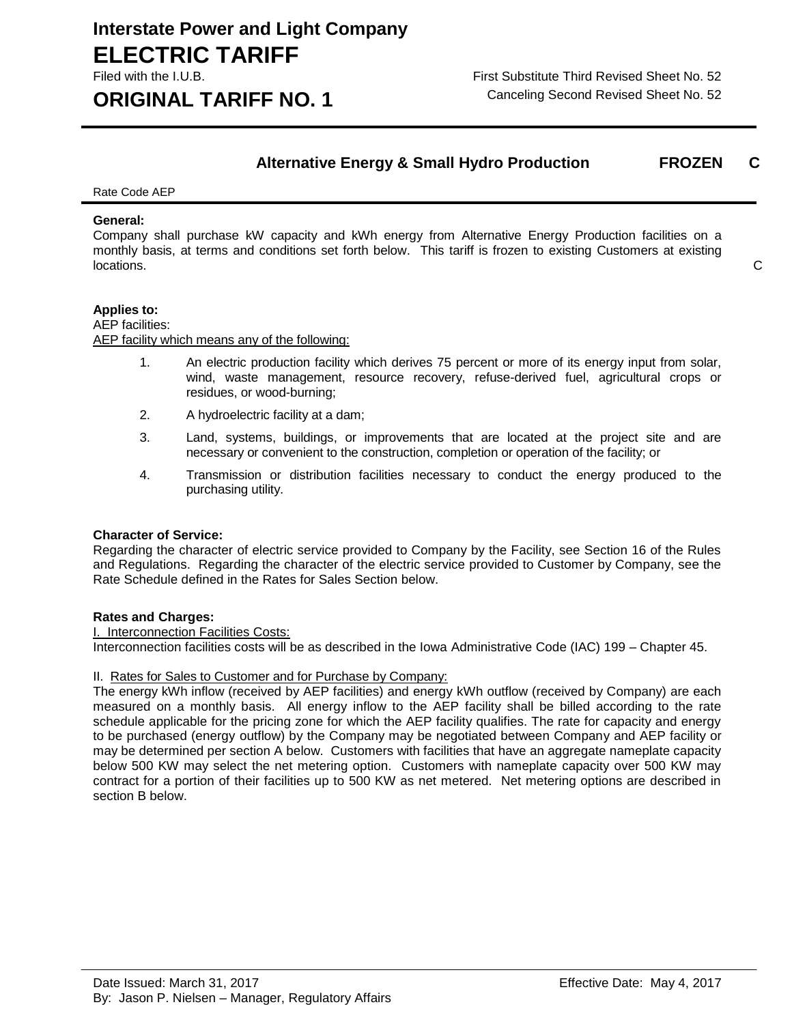# **Interstate Power and Light Company ELECTRIC TARIFF**

**ORIGINAL TARIFF NO. 1** Canceling Second Revised Sheet No. 52

Filed with the I.U.B. First Substitute Third Revised Sheet No. 52

# **Alternative Energy & Small Hydro Production FROZEN C**

Rate Code AEP

#### **General:**

Company shall purchase kW capacity and kWh energy from Alternative Energy Production facilities on a monthly basis, at terms and conditions set forth below. This tariff is frozen to existing Customers at existing locations. C

# **Applies to:**

AEP facilities: AEP facility which means any of the following:

- 1. An electric production facility which derives 75 percent or more of its energy input from solar, wind, waste management, resource recovery, refuse-derived fuel, agricultural crops or residues, or wood-burning;
- 2. A hydroelectric facility at a dam;
- 3. Land, systems, buildings, or improvements that are located at the project site and are necessary or convenient to the construction, completion or operation of the facility; or
- 4. Transmission or distribution facilities necessary to conduct the energy produced to the purchasing utility.

# **Character of Service:**

Regarding the character of electric service provided to Company by the Facility, see Section 16 of the Rules and Regulations. Regarding the character of the electric service provided to Customer by Company, see the Rate Schedule defined in the Rates for Sales Section below.

# **Rates and Charges:**

#### I. Interconnection Facilities Costs:

Interconnection facilities costs will be as described in the Iowa Administrative Code (IAC) 199 – Chapter 45.

# II. Rates for Sales to Customer and for Purchase by Company:

The energy kWh inflow (received by AEP facilities) and energy kWh outflow (received by Company) are each measured on a monthly basis. All energy inflow to the AEP facility shall be billed according to the rate schedule applicable for the pricing zone for which the AEP facility qualifies. The rate for capacity and energy to be purchased (energy outflow) by the Company may be negotiated between Company and AEP facility or may be determined per section A below. Customers with facilities that have an aggregate nameplate capacity below 500 KW may select the net metering option. Customers with nameplate capacity over 500 KW may contract for a portion of their facilities up to 500 KW as net metered. Net metering options are described in section B below.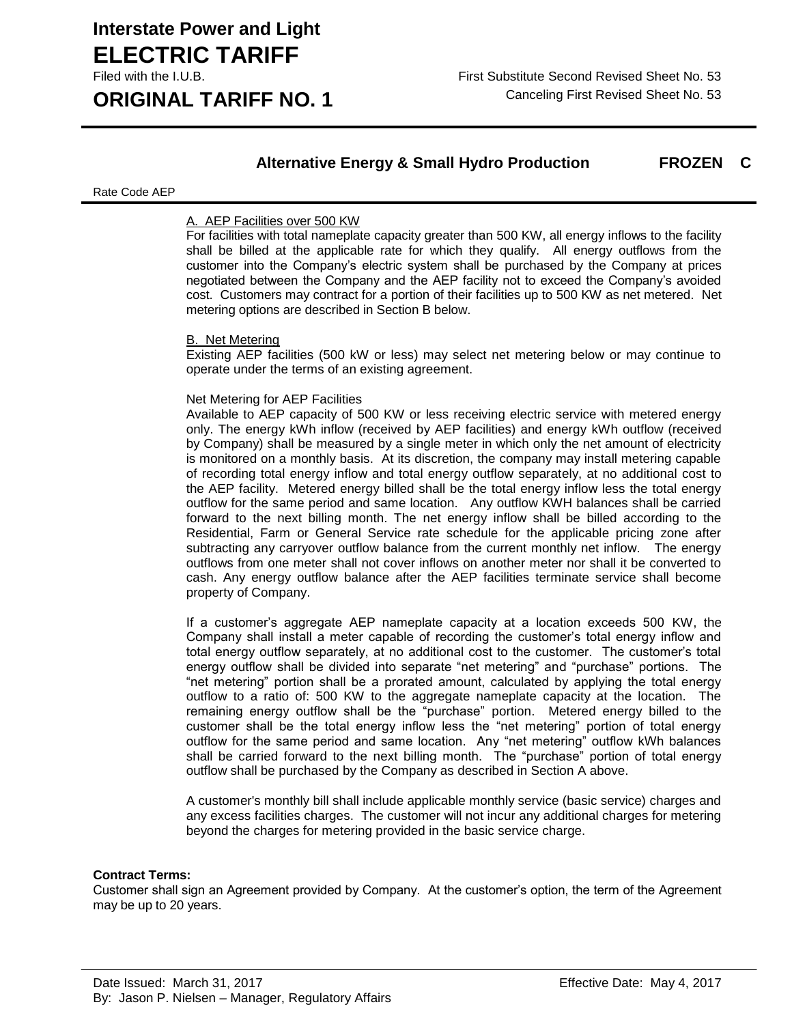# **Interstate Power and Light Company ELECTRIC TARIFF**

**ORIGINAL TARIFF NO. 1** Canceling First Revised Sheet No. 53

# **Alternative Energy & Small Hydro Production FROZEN C**

#### Rate Code AEP

# A. AEP Facilities over 500 KW

For facilities with total nameplate capacity greater than 500 KW, all energy inflows to the facility shall be billed at the applicable rate for which they qualify. All energy outflows from the customer into the Company's electric system shall be purchased by the Company at prices negotiated between the Company and the AEP facility not to exceed the Company's avoided cost. Customers may contract for a portion of their facilities up to 500 KW as net metered. Net metering options are described in Section B below.

# B. Net Metering

Existing AEP facilities (500 kW or less) may select net metering below or may continue to operate under the terms of an existing agreement.

#### Net Metering for AEP Facilities

Available to AEP capacity of 500 KW or less receiving electric service with metered energy only. The energy kWh inflow (received by AEP facilities) and energy kWh outflow (received by Company) shall be measured by a single meter in which only the net amount of electricity is monitored on a monthly basis. At its discretion, the company may install metering capable of recording total energy inflow and total energy outflow separately, at no additional cost to the AEP facility. Metered energy billed shall be the total energy inflow less the total energy outflow for the same period and same location. Any outflow KWH balances shall be carried forward to the next billing month. The net energy inflow shall be billed according to the Residential, Farm or General Service rate schedule for the applicable pricing zone after subtracting any carryover outflow balance from the current monthly net inflow. The energy outflows from one meter shall not cover inflows on another meter nor shall it be converted to cash. Any energy outflow balance after the AEP facilities terminate service shall become property of Company.

If a customer's aggregate AEP nameplate capacity at a location exceeds 500 KW, the Company shall install a meter capable of recording the customer's total energy inflow and total energy outflow separately, at no additional cost to the customer. The customer's total energy outflow shall be divided into separate "net metering" and "purchase" portions. The "net metering" portion shall be a prorated amount, calculated by applying the total energy outflow to a ratio of: 500 KW to the aggregate nameplate capacity at the location. The remaining energy outflow shall be the "purchase" portion. Metered energy billed to the customer shall be the total energy inflow less the "net metering" portion of total energy outflow for the same period and same location. Any "net metering" outflow kWh balances shall be carried forward to the next billing month. The "purchase" portion of total energy outflow shall be purchased by the Company as described in Section A above.

A customer's monthly bill shall include applicable monthly service (basic service) charges and any excess facilities charges. The customer will not incur any additional charges for metering beyond the charges for metering provided in the basic service charge.

# **Contract Terms:**

Customer shall sign an Agreement provided by Company. At the customer's option, the term of the Agreement may be up to 20 years.